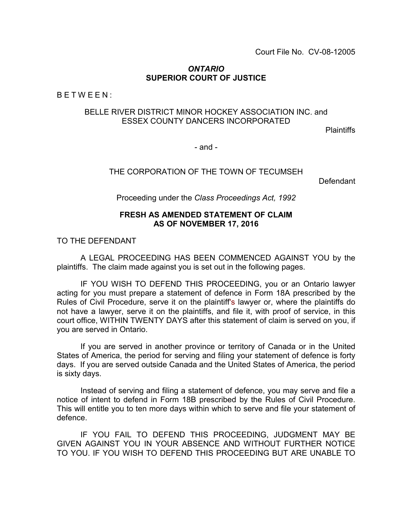#### *ONTARIO* **SUPERIOR COURT OF JUSTICE**

BETWEEN:

#### BELLE RIVER DISTRICT MINOR HOCKEY ASSOCIATION INC. and ESSEX COUNTY DANCERS INCORPORATED

Plaintiffs

- and -

THE CORPORATION OF THE TOWN OF TECUMSEH

Defendant

Proceeding under the *Class Proceedings Act, 1992*

## **FRESH AS AMENDED STATEMENT OF CLAIM AS OF NOVEMBER 17, 2016**

TO THE DEFENDANT

A LEGAL PROCEEDING HAS BEEN COMMENCED AGAINST YOU by the plaintiffs. The claim made against you is set out in the following pages.

IF YOU WISH TO DEFEND THIS PROCEEDING, you or an Ontario lawyer acting for you must prepare a statement of defence in Form 18A prescribed by the Rules of Civil Procedure, serve it on the plaintiff's lawyer or, where the plaintiffs do not have a lawyer, serve it on the plaintiffs, and file it, with proof of service, in this court office, WITHIN TWENTY DAYS after this statement of claim is served on you, if you are served in Ontario.

If you are served in another province or territory of Canada or in the United States of America, the period for serving and filing your statement of defence is forty days. If you are served outside Canada and the United States of America, the period is sixty days.

Instead of serving and filing a statement of defence, you may serve and file a notice of intent to defend in Form 18B prescribed by the Rules of Civil Procedure. This will entitle you to ten more days within which to serve and file your statement of defence.

IF YOU FAIL TO DEFEND THIS PROCEEDING, JUDGMENT MAY BE GIVEN AGAINST YOU IN YOUR ABSENCE AND WITHOUT FURTHER NOTICE TO YOU. IF YOU WISH TO DEFEND THIS PROCEEDING BUT ARE UNABLE TO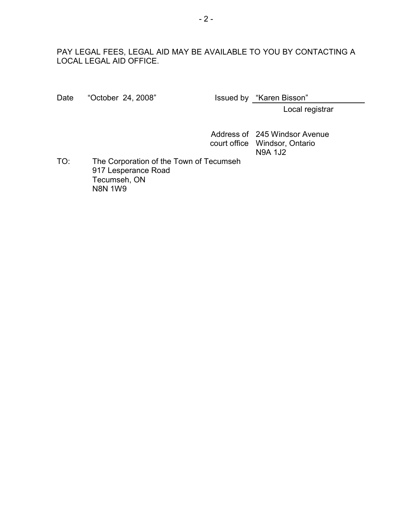# PAY LEGAL FEES, LEGAL AID MAY BE AVAILABLE TO YOU BY CONTACTING A LOCAL LEGAL AID OFFICE.

Date "October 24, 2008" Issued by "Karen Bisson"

Local registrar

Address of 245 Windsor Avenue court office Windsor, Ontario N9A 1J2

TO: The Corporation of the Town of Tecumseh 917 Lesperance Road Tecumseh, ON N8N 1W9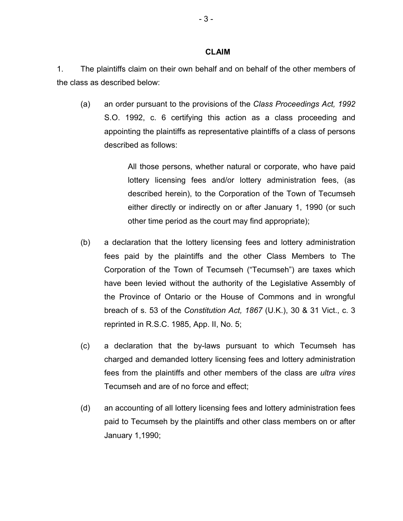#### **CLAIM**

1. The plaintiffs claim on their own behalf and on behalf of the other members of the class as described below:

(a) an order pursuant to the provisions of the *Class Proceedings Act, 1992* S.O. 1992, c. 6 certifying this action as a class proceeding and appointing the plaintiffs as representative plaintiffs of a class of persons described as follows:

> All those persons, whether natural or corporate, who have paid lottery licensing fees and/or lottery administration fees, (as described herein), to the Corporation of the Town of Tecumseh either directly or indirectly on or after January 1, 1990 (or such other time period as the court may find appropriate);

- (b) a declaration that the lottery licensing fees and lottery administration fees paid by the plaintiffs and the other Class Members to The Corporation of the Town of Tecumseh ("Tecumseh") are taxes which have been levied without the authority of the Legislative Assembly of the Province of Ontario or the House of Commons and in wrongful breach of s. 53 of the *Constitution Act, 1867* (U.K.), 30 & 31 Vict., c. 3 reprinted in R.S.C. 1985, App. II, No. 5;
- (c) a declaration that the by-laws pursuant to which Tecumseh has charged and demanded lottery licensing fees and lottery administration fees from the plaintiffs and other members of the class are *ultra vires* Tecumseh and are of no force and effect;
- (d) an accounting of all lottery licensing fees and lottery administration fees paid to Tecumseh by the plaintiffs and other class members on or after January 1,1990;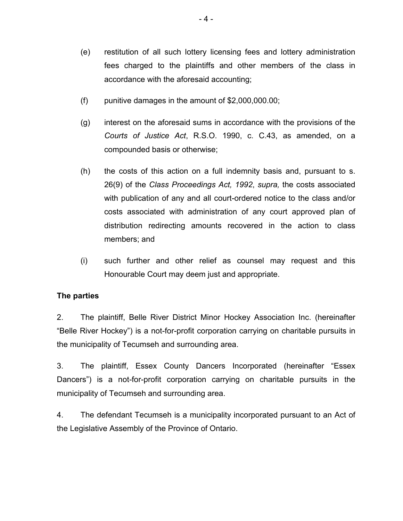- (e) restitution of all such lottery licensing fees and lottery administration fees charged to the plaintiffs and other members of the class in accordance with the aforesaid accounting;
- (f) punitive damages in the amount of \$2,000,000.00;
- (g) interest on the aforesaid sums in accordance with the provisions of the *Courts of Justice Act*, R.S.O. 1990, c. C.43, as amended, on a compounded basis or otherwise;
- (h) the costs of this action on a full indemnity basis and, pursuant to s. 26(9) of the *Class Proceedings Act, 1992*, *supra,* the costs associated with publication of any and all court-ordered notice to the class and/or costs associated with administration of any court approved plan of distribution redirecting amounts recovered in the action to class members; and
- (i) such further and other relief as counsel may request and this Honourable Court may deem just and appropriate.

## **The parties**

2. The plaintiff, Belle River District Minor Hockey Association Inc. (hereinafter "Belle River Hockey") is a not-for-profit corporation carrying on charitable pursuits in the municipality of Tecumseh and surrounding area.

3. The plaintiff, Essex County Dancers Incorporated (hereinafter "Essex Dancers") is a not-for-profit corporation carrying on charitable pursuits in the municipality of Tecumseh and surrounding area.

4. The defendant Tecumseh is a municipality incorporated pursuant to an Act of the Legislative Assembly of the Province of Ontario.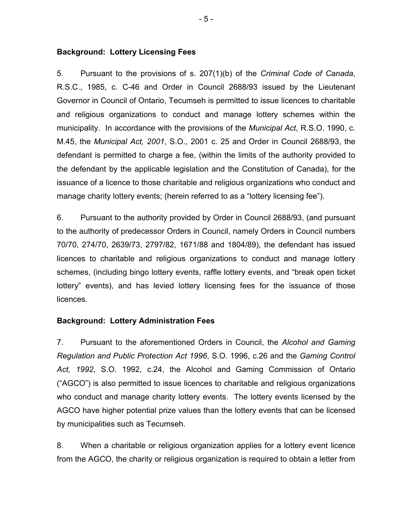#### **Background: Lottery Licensing Fees**

5. Pursuant to the provisions of s. 207(1)(b) of the *Criminal Code of Canada*, R.S.C., 1985, c. C-46 and Order in Council 2688/93 issued by the Lieutenant Governor in Council of Ontario, Tecumseh is permitted to issue licences to charitable and religious organizations to conduct and manage lottery schemes within the municipality. In accordance with the provisions of the *Municipal Act*, R.S.O. 1990, c. M.45, the *Municipal Act, 2001*, S.O., 2001 c. 25 and Order in Council 2688/93, the defendant is permitted to charge a fee, (within the limits of the authority provided to the defendant by the applicable legislation and the Constitution of Canada), for the issuance of a licence to those charitable and religious organizations who conduct and manage charity lottery events; (herein referred to as a "lottery licensing fee").

6. Pursuant to the authority provided by Order in Council 2688/93, (and pursuant to the authority of predecessor Orders in Council, namely Orders in Council numbers 70/70, 274/70, 2639/73, 2797/82, 1671/88 and 1804/89), the defendant has issued licences to charitable and religious organizations to conduct and manage lottery schemes, (including bingo lottery events, raffle lottery events, and "break open ticket lottery" events), and has levied lottery licensing fees for the issuance of those licences.

## **Background: Lottery Administration Fees**

7. Pursuant to the aforementioned Orders in Council, the *Alcohol and Gaming Regulation and Public Protection Act 1996*, S.O. 1996, c.26 and the *Gaming Control Act, 1992*, S.O. 1992, c.24, the Alcohol and Gaming Commission of Ontario ("AGCO") is also permitted to issue licences to charitable and religious organizations who conduct and manage charity lottery events. The lottery events licensed by the AGCO have higher potential prize values than the lottery events that can be licensed by municipalities such as Tecumseh.

8. When a charitable or religious organization applies for a lottery event licence from the AGCO, the charity or religious organization is required to obtain a letter from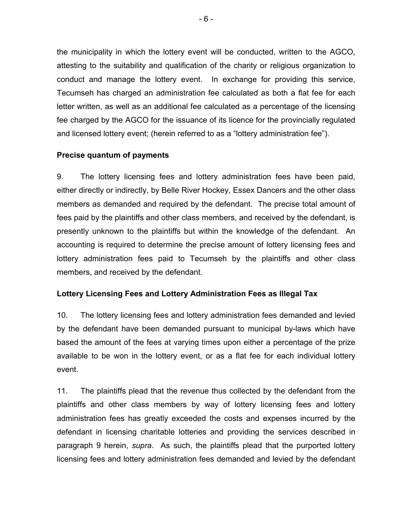the municipality in which the lottery event will be conducted, written to the AGCO, attesting to the suitability and qualification of the charity or religious organization to conduct and manage the lottery event. In exchange for providing this service, Tecumseh has charged an administration fee calculated as both a flat fee for each letter written, as well as an additional fee calculated as a percentage of the licensing fee charged by the AGCO for the issuance of its licence for the provincially regulated and licensed lottery event; (herein referred to as a "lottery administration fee").

# **Precise quantum of payments**

9. The lottery licensing fees and lottery administration fees have been paid, either directly or indirectly, by Belle River Hockey, Essex Dancers and the other class members as demanded and required by the defendant. The precise total amount of fees paid by the plaintiffs and other class members, and received by the defendant, is presently unknown to the plaintiffs but within the knowledge of the defendant. An accounting is required to determine the precise amount of lottery licensing fees and lottery administration fees paid to Tecumseh by the plaintiffs and other class members, and received by the defendant.

## **Lottery Licensing Fees and Lottery Administration Fees as Illegal Tax**

10. The lottery licensing fees and lottery administration fees demanded and levied by the defendant have been demanded pursuant to municipal by-laws which have based the amount of the fees at varying times upon either a percentage of the prize available to be won in the lottery event, or as a flat fee for each individual lottery event.

11. The plaintiffs plead that the revenue thus collected by the defendant from the plaintiffs and other class members by way of lottery licensing fees and lottery administration fees has greatly exceeded the costs and expenses incurred by the defendant in licensing charitable lotteries and providing the services described in paragraph 9 herein, *supra*. As such, the plaintiffs plead that the purported lottery licensing fees and lottery administration fees demanded and levied by the defendant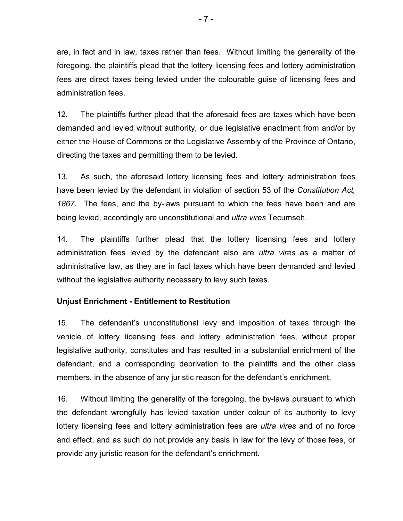are, in fact and in law, taxes rather than fees. Without limiting the generality of the foregoing, the plaintiffs plead that the lottery licensing fees and lottery administration fees are direct taxes being levied under the colourable guise of licensing fees and administration fees.

12. The plaintiffs further plead that the aforesaid fees are taxes which have been demanded and levied without authority, or due legislative enactment from and/or by either the House of Commons or the Legislative Assembly of the Province of Ontario, directing the taxes and permitting them to be levied.

13. As such, the aforesaid lottery licensing fees and lottery administration fees have been levied by the defendant in violation of section 53 of the *Constitution Act, 1867*. The fees, and the by-laws pursuant to which the fees have been and are being levied, accordingly are unconstitutional and *ultra vires* Tecumseh.

14. The plaintiffs further plead that the lottery licensing fees and lottery administration fees levied by the defendant also are *ultra vires* as a matter of administrative law, as they are in fact taxes which have been demanded and levied without the legislative authority necessary to levy such taxes.

# **Unjust Enrichment - Entitlement to Restitution**

15. The defendant's unconstitutional levy and imposition of taxes through the vehicle of lottery licensing fees and lottery administration fees, without proper legislative authority, constitutes and has resulted in a substantial enrichment of the defendant, and a corresponding deprivation to the plaintiffs and the other class members, in the absence of any juristic reason for the defendant's enrichment.

16. Without limiting the generality of the foregoing, the by-laws pursuant to which the defendant wrongfully has levied taxation under colour of its authority to levy lottery licensing fees and lottery administration fees are *ultra vires* and of no force and effect, and as such do not provide any basis in law for the levy of those fees, or provide any juristic reason for the defendant's enrichment.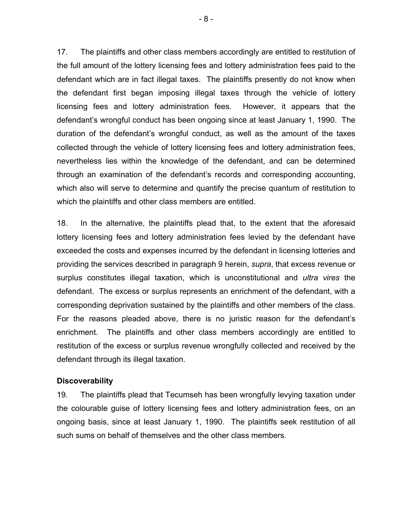17. The plaintiffs and other class members accordingly are entitled to restitution of the full amount of the lottery licensing fees and lottery administration fees paid to the defendant which are in fact illegal taxes. The plaintiffs presently do not know when the defendant first began imposing illegal taxes through the vehicle of lottery licensing fees and lottery administration fees. However, it appears that the defendant's wrongful conduct has been ongoing since at least January 1, 1990. The duration of the defendant's wrongful conduct, as well as the amount of the taxes collected through the vehicle of lottery licensing fees and lottery administration fees, nevertheless lies within the knowledge of the defendant, and can be determined through an examination of the defendant's records and corresponding accounting, which also will serve to determine and quantify the precise quantum of restitution to which the plaintiffs and other class members are entitled.

18. In the alternative, the plaintiffs plead that, to the extent that the aforesaid lottery licensing fees and lottery administration fees levied by the defendant have exceeded the costs and expenses incurred by the defendant in licensing lotteries and providing the services described in paragraph 9 herein, *supra*, that excess revenue or surplus constitutes illegal taxation, which is unconstitutional and *ultra vires* the defendant. The excess or surplus represents an enrichment of the defendant, with a corresponding deprivation sustained by the plaintiffs and other members of the class. For the reasons pleaded above, there is no juristic reason for the defendant's enrichment. The plaintiffs and other class members accordingly are entitled to restitution of the excess or surplus revenue wrongfully collected and received by the defendant through its illegal taxation.

#### **Discoverability**

19. The plaintiffs plead that Tecumseh has been wrongfully levying taxation under the colourable guise of lottery licensing fees and lottery administration fees, on an ongoing basis, since at least January 1, 1990. The plaintiffs seek restitution of all such sums on behalf of themselves and the other class members.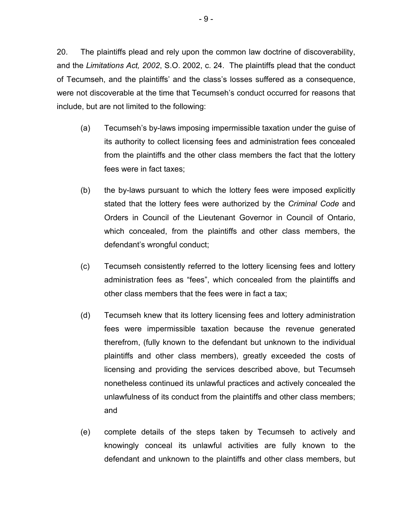20. The plaintiffs plead and rely upon the common law doctrine of discoverability, and the *Limitations Act, 2002*, S.O. 2002, c. 24. The plaintiffs plead that the conduct of Tecumseh, and the plaintiffs' and the class's losses suffered as a consequence, were not discoverable at the time that Tecumseh's conduct occurred for reasons that include, but are not limited to the following:

- (a) Tecumseh's by-laws imposing impermissible taxation under the guise of its authority to collect licensing fees and administration fees concealed from the plaintiffs and the other class members the fact that the lottery fees were in fact taxes;
- (b) the by-laws pursuant to which the lottery fees were imposed explicitly stated that the lottery fees were authorized by the *Criminal Code* and Orders in Council of the Lieutenant Governor in Council of Ontario, which concealed, from the plaintiffs and other class members, the defendant's wrongful conduct;
- (c) Tecumseh consistently referred to the lottery licensing fees and lottery administration fees as "fees", which concealed from the plaintiffs and other class members that the fees were in fact a tax;
- (d) Tecumseh knew that its lottery licensing fees and lottery administration fees were impermissible taxation because the revenue generated therefrom, (fully known to the defendant but unknown to the individual plaintiffs and other class members), greatly exceeded the costs of licensing and providing the services described above, but Tecumseh nonetheless continued its unlawful practices and actively concealed the unlawfulness of its conduct from the plaintiffs and other class members; and
- (e) complete details of the steps taken by Tecumseh to actively and knowingly conceal its unlawful activities are fully known to the defendant and unknown to the plaintiffs and other class members, but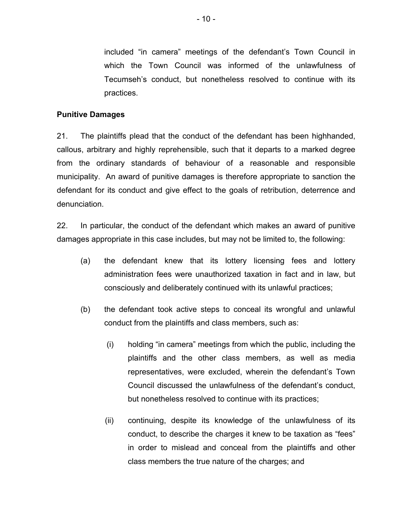included "in camera" meetings of the defendant's Town Council in which the Town Council was informed of the unlawfulness of Tecumseh's conduct, but nonetheless resolved to continue with its practices.

# **Punitive Damages**

21. The plaintiffs plead that the conduct of the defendant has been highhanded, callous, arbitrary and highly reprehensible, such that it departs to a marked degree from the ordinary standards of behaviour of a reasonable and responsible municipality. An award of punitive damages is therefore appropriate to sanction the defendant for its conduct and give effect to the goals of retribution, deterrence and denunciation.

22. In particular, the conduct of the defendant which makes an award of punitive damages appropriate in this case includes, but may not be limited to, the following:

- (a) the defendant knew that its lottery licensing fees and lottery administration fees were unauthorized taxation in fact and in law, but consciously and deliberately continued with its unlawful practices;
- (b) the defendant took active steps to conceal its wrongful and unlawful conduct from the plaintiffs and class members, such as:
	- (i) holding "in camera" meetings from which the public, including the plaintiffs and the other class members, as well as media representatives, were excluded, wherein the defendant's Town Council discussed the unlawfulness of the defendant's conduct, but nonetheless resolved to continue with its practices;
	- (ii) continuing, despite its knowledge of the unlawfulness of its conduct, to describe the charges it knew to be taxation as "fees" in order to mislead and conceal from the plaintiffs and other class members the true nature of the charges; and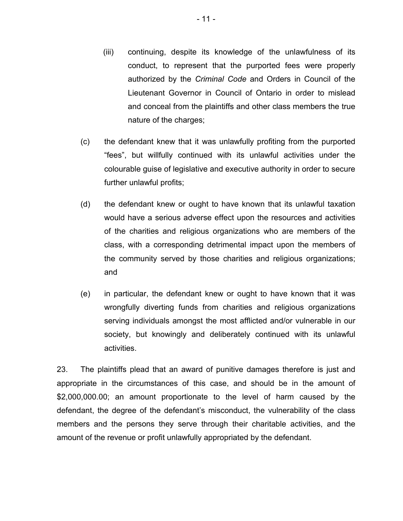- (iii) continuing, despite its knowledge of the unlawfulness of its conduct, to represent that the purported fees were properly authorized by the *Criminal Code* and Orders in Council of the Lieutenant Governor in Council of Ontario in order to mislead and conceal from the plaintiffs and other class members the true nature of the charges;
- (c) the defendant knew that it was unlawfully profiting from the purported "fees", but willfully continued with its unlawful activities under the colourable guise of legislative and executive authority in order to secure further unlawful profits;
- (d) the defendant knew or ought to have known that its unlawful taxation would have a serious adverse effect upon the resources and activities of the charities and religious organizations who are members of the class, with a corresponding detrimental impact upon the members of the community served by those charities and religious organizations; and
- (e) in particular, the defendant knew or ought to have known that it was wrongfully diverting funds from charities and religious organizations serving individuals amongst the most afflicted and/or vulnerable in our society, but knowingly and deliberately continued with its unlawful activities.

23. The plaintiffs plead that an award of punitive damages therefore is just and appropriate in the circumstances of this case, and should be in the amount of \$2,000,000.00; an amount proportionate to the level of harm caused by the defendant, the degree of the defendant's misconduct, the vulnerability of the class members and the persons they serve through their charitable activities, and the amount of the revenue or profit unlawfully appropriated by the defendant.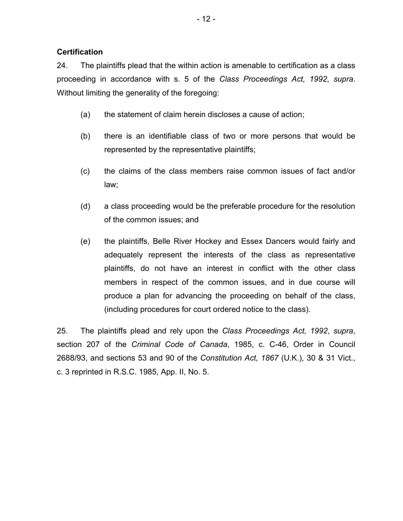# **Certification**

24. The plaintiffs plead that the within action is amenable to certification as a class proceeding in accordance with s. 5 of the *Class Proceedings Act, 1992*, *supra*. Without limiting the generality of the foregoing:

- (a) the statement of claim herein discloses a cause of action;
- (b) there is an identifiable class of two or more persons that would be represented by the representative plaintiffs;
- (c) the claims of the class members raise common issues of fact and/or law;
- (d) a class proceeding would be the preferable procedure for the resolution of the common issues; and
- (e) the plaintiffs, Belle River Hockey and Essex Dancers would fairly and adequately represent the interests of the class as representative plaintiffs, do not have an interest in conflict with the other class members in respect of the common issues, and in due course will produce a plan for advancing the proceeding on behalf of the class, (including procedures for court ordered notice to the class).

25. The plaintiffs plead and rely upon the *Class Proceedings Act, 1992*, *supra*, section 207 of the *Criminal Code of Canada*, 1985, c. C-46, Order in Council 2688/93, and sections 53 and 90 of the *Constitution Act, 1867* (U.K.), 30 & 31 Vict., c. 3 reprinted in R.S.C. 1985, App. II, No. 5.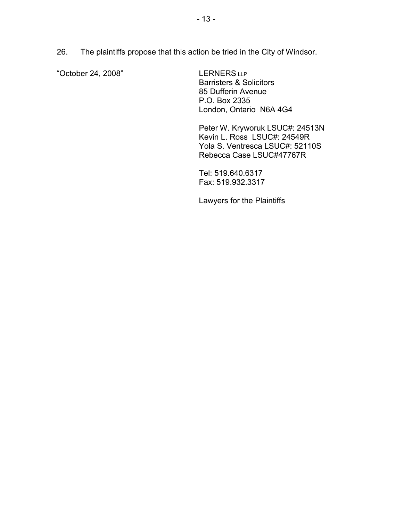26. The plaintiffs propose that this action be tried in the City of Windsor.

"October 24, 2008" LERNERS LLP

Barristers & Solicitors 85 Dufferin Avenue P.O. Box 2335 London, Ontario N6A 4G4

Peter W. Kryworuk LSUC#: 24513N Kevin L. Ross LSUC#: 24549R Yola S. Ventresca LSUC#: 52110S Rebecca Case LSUC#47767R

Tel: 519.640.6317 Fax: 519.932.3317

Lawyers for the Plaintiffs